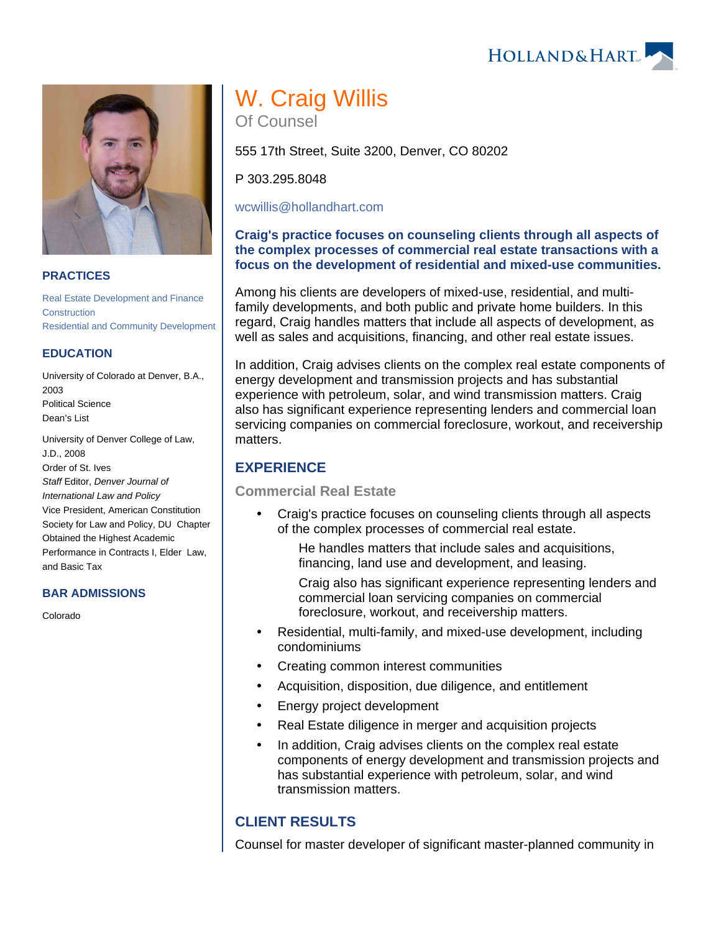HOLLAND& HART



### **PRACTICES**

[Real Estate Development and Finance](https://www.hollandhart.com/19761) **[Construction](https://www.hollandhart.com/19751)** [Residential and Community Development](https://www.hollandhart.com/19695)

#### **EDUCATION**

University of Colorado at Denver, B.A., 2003 Political Science Dean's List

University of Denver College of Law, J.D., 2008 Order of St. Ives Staff Editor, Denver Journal of International Law and Policy Vice President, American Constitution Society for Law and Policy, DU Chapter Obtained the Highest Academic Performance in Contracts I, Elder Law, and Basic Tax

#### **BAR ADMISSIONS**

Colorado

# W. Craig Willis Of Counsel

555 17th Street, Suite 3200, Denver, CO 80202

P 303.295.8048

[wcwillis@hollandhart.com](mailto:wcwillis@hollandhart.com)

### **Craig's practice focuses on counseling clients through all aspects of the complex processes of commercial real estate transactions with a focus on the development of residential and mixed-use communities.**

Among his clients are developers of mixed-use, residential, and multifamily developments, and both public and private home builders. In this regard, Craig handles matters that include all aspects of development, as well as sales and acquisitions, financing, and other real estate issues.

In addition, Craig advises clients on the complex real estate components of energy development and transmission projects and has substantial experience with petroleum, solar, and wind transmission matters. Craig also has significant experience representing lenders and commercial loan servicing companies on commercial foreclosure, workout, and receivership matters.

## **EXPERIENCE**

**Commercial Real Estate**

 Craig's practice focuses on counseling clients through all aspects of the complex processes of commercial real estate.

He handles matters that include sales and acquisitions, financing, land use and development, and leasing.

Craig also has significant experience representing lenders and commercial loan servicing companies on commercial foreclosure, workout, and receivership matters.

- Residential, multi-family, and mixed-use development, including condominiums
- Creating common interest communities
- Acquisition, disposition, due diligence, and entitlement
- Energy project development
- Real Estate diligence in merger and acquisition projects
- In addition, Craig advises clients on the complex real estate components of energy development and transmission projects and has substantial experience with petroleum, solar, and wind transmission matters.

## **CLIENT RESULTS**

Counsel for master developer of significant master-planned community in